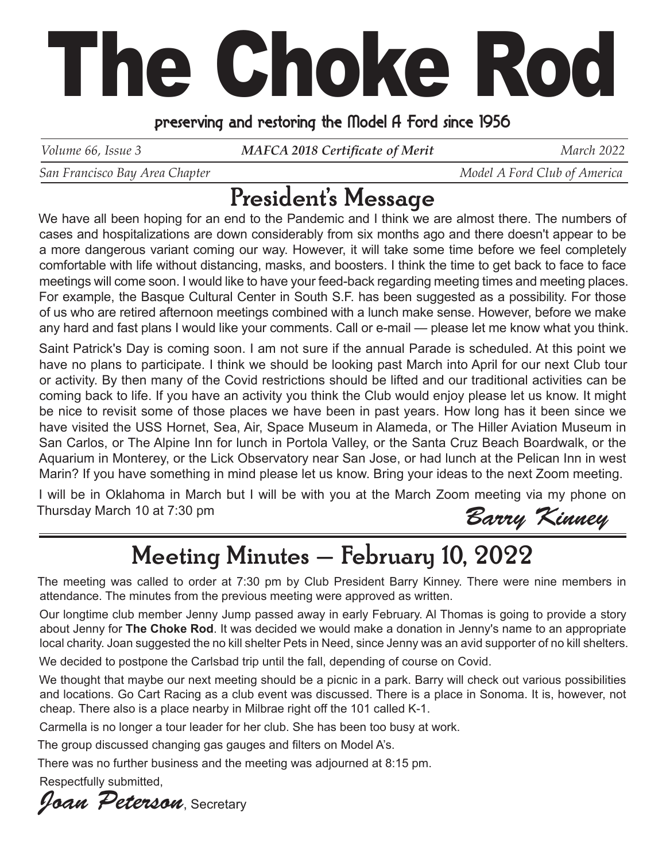## The Choke Rod

## preserving and restoring the Model A Ford since 1956

*Volume 66, Issue 3 MAFCA 2018 Certificate of Merit* March 2022

*San Francisco Bay Area Chapter*  $\blacksquare$   $\blacksquare$   $\blacksquare$   $\blacksquare$   $\blacksquare$   $\blacksquare$   $\blacksquare$   $\blacksquare$   $\blacksquare$   $\blacksquare$   $\blacksquare$   $\blacksquare$   $\blacksquare$   $\blacksquare$   $\blacksquare$   $\blacksquare$   $\blacksquare$   $\blacksquare$   $\blacksquare$   $\blacksquare$   $\blacksquare$   $\blacksquare$   $\blacksquare$   $\blacksquare$   $\blacksquare$   $\blacksquare$   $\blacksquare$ 

## President's Message

We have all been hoping for an end to the Pandemic and I think we are almost there. The numbers of cases and hospitalizations are down considerably from six months ago and there doesn't appear to be a more dangerous variant coming our way. However, it will take some time before we feel completely comfortable with life without distancing, masks, and boosters. I think the time to get back to face to face meetings will come soon. I would like to have your feed-back regarding meeting times and meeting places. For example, the Basque Cultural Center in South S.F. has been suggested as a possibility. For those of us who are retired afternoon meetings combined with a lunch make sense. However, before we make any hard and fast plans I would like your comments. Call or e-mail — please let me know what you think.

Saint Patrick's Day is coming soon. I am not sure if the annual Parade is scheduled. At this point we have no plans to participate. I think we should be looking past March into April for our next Club tour or activity. By then many of the Covid restrictions should be lifted and our traditional activities can be coming back to life. If you have an activity you think the Club would enjoy please let us know. It might be nice to revisit some of those places we have been in past years. How long has it been since we have visited the USS Hornet, Sea, Air, Space Museum in Alameda, or The Hiller Aviation Museum in San Carlos, or The Alpine Inn for lunch in Portola Valley, or the Santa Cruz Beach Boardwalk, or the Aquarium in Monterey, or the Lick Observatory near San Jose, or had lunch at the Pelican Inn in west Marin? If you have something in mind please let us know. Bring your ideas to the next Zoom meeting.

I will be in Oklahoma in March but I will be with you at the March Zoom meeting via my phone on Thursday March 10 at 7:30 pm

Barry Kinney

## Meeting Minutes – February 10, 2022

The meeting was called to order at 7:30 pm by Club President Barry Kinney. There were nine members in attendance. The minutes from the previous meeting were approved as written.

Our longtime club member Jenny Jump passed away in early February. Al Thomas is going to provide a story about Jenny for **The Choke Rod**. It was decided we would make a donation in Jenny's name to an appropriate local charity. Joan suggested the no kill shelter Pets in Need, since Jenny was an avid supporter of no kill shelters.

We decided to postpone the Carlsbad trip until the fall, depending of course on Covid.

We thought that maybe our next meeting should be a picnic in a park. Barry will check out various possibilities and locations. Go Cart Racing as a club event was discussed. There is a place in Sonoma. It is, however, not cheap. There also is a place nearby in Milbrae right off the 101 called K-1.

Carmella is no longer a tour leader for her club. She has been too busy at work.

The group discussed changing gas gauges and filters on Model A's.

There was no further business and the meeting was adjourned at 8:15 pm.

Respectfully submitted,

Joan Peterson, Secretary